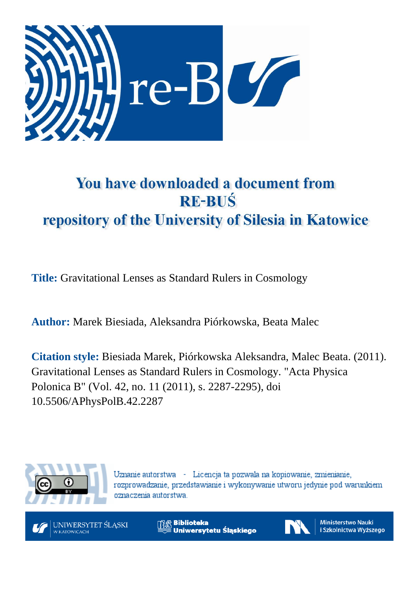

# You have downloaded a document from **RE-BUŚ** repository of the University of Silesia in Katowice

**Title:** Gravitational Lenses as Standard Rulers in Cosmology

**Author:** Marek Biesiada, Aleksandra Piórkowska, Beata Malec

**Citation style:** Biesiada Marek, Piórkowska Aleksandra, Malec Beata. (2011). Gravitational Lenses as Standard Rulers in Cosmology. "Acta Physica Polonica B" (Vol. 42, no. 11 (2011), s. 2287-2295), doi 10.5506/APhysPolB.42.2287



Uznanie autorstwa - Licencja ta pozwala na kopiowanie, zmienianie, rozprowadzanie, przedstawianie i wykonywanie utworu jedynie pod warunkiem oznaczenia autorstwa.



**Biblioteka** Uniwersytetu Śląskiego



**Ministerstwo Nauki** i Szkolnictwa Wyższego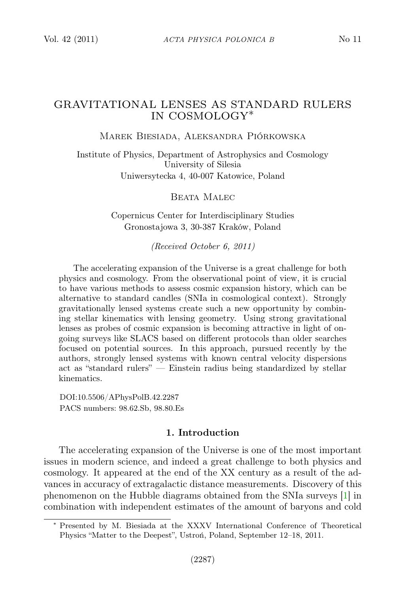# GRAVITATIONAL LENSES AS STANDARD RULERS IN COSMOLOGY∗

Marek Biesiada, Aleksandra Piórkowska

Institute of Physics, Department of Astrophysics and Cosmology University of Silesia Uniwersytecka 4, 40-007 Katowice, Poland

Beata Malec

Copernicus Center for Interdisciplinary Studies Gronostajowa 3, 30-387 Kraków, Poland

(Received October 6, 2011)

The accelerating expansion of the Universe is a great challenge for both physics and cosmology. From the observational point of view, it is crucial to have various methods to assess cosmic expansion history, which can be alternative to standard candles (SNIa in cosmological context). Strongly gravitationally lensed systems create such a new opportunity by combining stellar kinematics with lensing geometry. Using strong gravitational lenses as probes of cosmic expansion is becoming attractive in light of ongoing surveys like SLACS based on different protocols than older searches focused on potential sources. In this approach, pursued recently by the authors, strongly lensed systems with known central velocity dispersions act as "standard rulers" — Einstein radius being standardized by stellar kinematics.

DOI:10.5506/APhysPolB.42.2287 PACS numbers: 98.62.Sb, 98.80.Es

# 1. Introduction

The accelerating expansion of the Universe is one of the most important issues in modern science, and indeed a great challenge to both physics and cosmology. It appeared at the end of the XX century as a result of the advances in accuracy of extragalactic distance measurements. Discovery of this phenomenon on the Hubble diagrams obtained from the SNIa surveys [\[1\]](#page-8-0) in combination with independent estimates of the amount of baryons and cold

<sup>∗</sup> Presented by M. Biesiada at the XXXV International Conference of Theoretical Physics "Matter to the Deepest", Ustroń, Poland, September 12–18, 2011.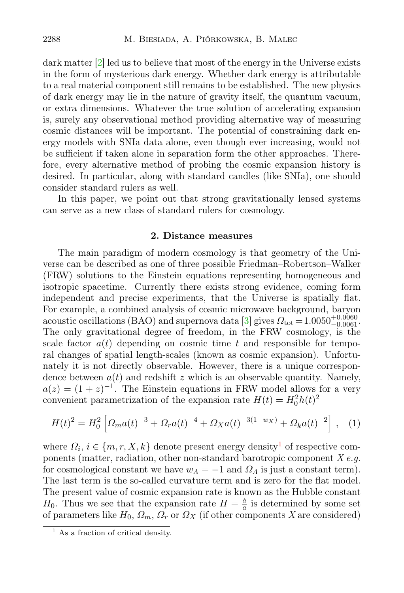dark matter [\[2\]](#page-8-1) led us to believe that most of the energy in the Universe exists in the form of mysterious dark energy. Whether dark energy is attributable to a real material component still remains to be established. The new physics of dark energy may lie in the nature of gravity itself, the quantum vacuum, or extra dimensions. Whatever the true solution of accelerating expansion is, surely any observational method providing alternative way of measuring cosmic distances will be important. The potential of constraining dark energy models with SNIa data alone, even though ever increasing, would not be sufficient if taken alone in separation form the other approaches. Therefore, every alternative method of probing the cosmic expansion history is desired. In particular, along with standard candles (like SNIa), one should consider standard rulers as well.

In this paper, we point out that strong gravitationally lensed systems can serve as a new class of standard rulers for cosmology.

## 2. Distance measures

The main paradigm of modern cosmology is that geometry of the Universe can be described as one of three possible Friedman–Robertson–Walker (FRW) solutions to the Einstein equations representing homogeneous and isotropic spacetime. Currently there exists strong evidence, coming form independent and precise experiments, that the Universe is spatially flat. For example, a combined analysis of cosmic microwave background, baryon acoustic oscillations (BAO) and supernova data [\[3\]](#page-8-2) gives  $\Omega_{\rm tot} = 1.0050^{+0.0060}_{-0.0061}$ . The only gravitational degree of freedom, in the FRW cosmology, is the scale factor  $a(t)$  depending on cosmic time t and responsible for temporal changes of spatial length-scales (known as cosmic expansion). Unfortunately it is not directly observable. However, there is a unique correspondence between  $a(t)$  and redshift z which is an observable quantity. Namely,  $a(z) = (1+z)^{-1}$ . The Einstein equations in FRW model allows for a very convenient parametrization of the expansion rate  $H(t) = H_0^2 h(t)^2$ 

$$
H(t)^{2} = H_0^{2} \left[ \Omega_m a(t)^{-3} + \Omega_r a(t)^{-4} + \Omega_X a(t)^{-3(1+w_X)} + \Omega_k a(t)^{-2} \right], \quad (1)
$$

where  $\Omega_i, i \in \{m, r, X, k\}$  denote present energy density<sup>[1](#page-2-0)</sup> of respective components (matter, radiation, other non-standard barotropic component  $X e.g.$ for cosmological constant we have  $w_A = -1$  and  $\Omega_A$  is just a constant term). The last term is the so-called curvature term and is zero for the flat model. The present value of cosmic expansion rate is known as the Hubble constant  $H_0$ . Thus we see that the expansion rate  $H = \frac{\dot{a}}{a}$  $\frac{a}{a}$  is determined by some set of parameters like  $H_0, \Omega_m, \Omega_r$  or  $\Omega_X$  (if other components X are considered)

<span id="page-2-0"></span> $<sup>1</sup>$  As a fraction of critical density.</sup>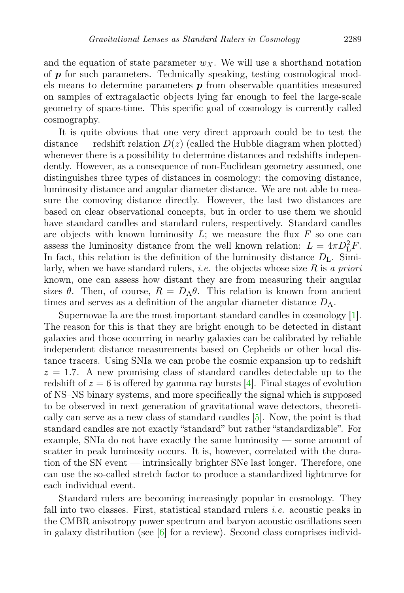and the equation of state parameter  $w<sub>X</sub>$ . We will use a shorthand notation of  $p$  for such parameters. Technically speaking, testing cosmological models means to determine parameters  $\boldsymbol{p}$  from observable quantities measured on samples of extragalactic objects lying far enough to feel the large-scale geometry of space-time. This specific goal of cosmology is currently called cosmography.

It is quite obvious that one very direct approach could be to test the distance — redshift relation  $D(z)$  (called the Hubble diagram when plotted) whenever there is a possibility to determine distances and redshifts independently. However, as a consequence of non-Euclidean geometry assumed, one distinguishes three types of distances in cosmology: the comoving distance, luminosity distance and angular diameter distance. We are not able to measure the comoving distance directly. However, the last two distances are based on clear observational concepts, but in order to use them we should have standard candles and standard rulers, respectively. Standard candles are objects with known luminosity  $L$ ; we measure the flux  $F$  so one can assess the luminosity distance from the well known relation:  $L = 4\pi D_{\rm L}^2 F$ . In fact, this relation is the definition of the luminosity distance  $D_{\rm L}$ . Similarly, when we have standard rulers, *i.e.* the objects whose size R is a priori known, one can assess how distant they are from measuring their angular sizes  $\theta$ . Then, of course,  $R = D_A \theta$ . This relation is known from ancient times and serves as a definition of the angular diameter distance  $D_A$ .

Supernovae Ia are the most important standard candles in cosmology [\[1\]](#page-8-0). The reason for this is that they are bright enough to be detected in distant galaxies and those occurring in nearby galaxies can be calibrated by reliable independent distance measurements based on Cepheids or other local distance tracers. Using SNIa we can probe the cosmic expansion up to redshift  $z = 1.7$ . A new promising class of standard candles detectable up to the redshift of  $z = 6$  is offered by gamma ray bursts [\[4\]](#page-8-3). Final stages of evolution of NS–NS binary systems, and more specifically the signal which is supposed to be observed in next generation of gravitational wave detectors, theoretically can serve as a new class of standard candles [\[5\]](#page-8-4). Now, the point is that standard candles are not exactly "standard" but rather "standardizable". For example, SNIa do not have exactly the same luminosity — some amount of scatter in peak luminosity occurs. It is, however, correlated with the duration of the SN event — intrinsically brighter SNe last longer. Therefore, one can use the so-called stretch factor to produce a standardized lightcurve for each individual event.

Standard rulers are becoming increasingly popular in cosmology. They fall into two classes. First, statistical standard rulers i.e. acoustic peaks in the CMBR anisotropy power spectrum and baryon acoustic oscillations seen in galaxy distribution (see  $\lceil 6 \rceil$  for a review). Second class comprises individ-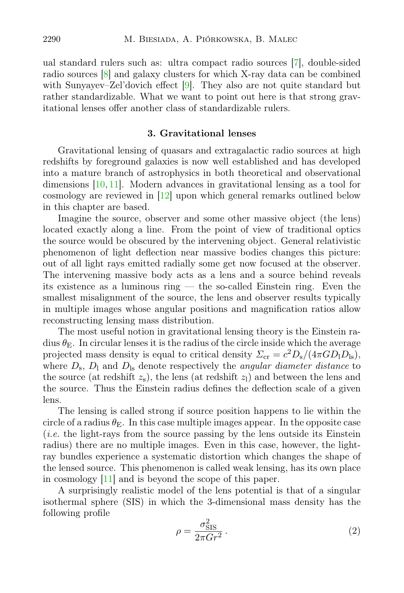ual standard rulers such as: ultra compact radio sources [\[7\]](#page-8-6), double-sided radio sources [\[8\]](#page-9-0) and galaxy clusters for which X-ray data can be combined with Sunyayev–Zel'dovich effect [\[9\]](#page-9-1). They also are not quite standard but rather standardizable. What we want to point out here is that strong gravitational lenses offer another class of standardizable rulers.

# 3. Gravitational lenses

Gravitational lensing of quasars and extragalactic radio sources at high redshifts by foreground galaxies is now well established and has developed into a mature branch of astrophysics in both theoretical and observational dimensions [\[10,](#page-9-2) [11\]](#page-9-3). Modern advances in gravitational lensing as a tool for cosmology are reviewed in [\[12\]](#page-9-4) upon which general remarks outlined below in this chapter are based.

Imagine the source, observer and some other massive object (the lens) located exactly along a line. From the point of view of traditional optics the source would be obscured by the intervening object. General relativistic phenomenon of light deflection near massive bodies changes this picture: out of all light rays emitted radially some get now focused at the observer. The intervening massive body acts as a lens and a source behind reveals its existence as a luminous ring — the so-called Einstein ring. Even the smallest misalignment of the source, the lens and observer results typically in multiple images whose angular positions and magnification ratios allow reconstructing lensing mass distribution.

The most useful notion in gravitational lensing theory is the Einstein radius  $\theta_{\rm E}$ . In circular lenses it is the radius of the circle inside which the average projected mass density is equal to critical density  $\Sigma_{\rm cr} = c^2 D_{\rm s} / (4\pi G D_{\rm l} D_{\rm ls}),$ where  $D_s$ ,  $D_l$  and  $D_s$  denote respectively the *angular diameter distance* to the source (at redshift  $z_{\rm s}$ ), the lens (at redshift  $z_{\rm l}$ ) and between the lens and the source. Thus the Einstein radius defines the deflection scale of a given lens.

The lensing is called strong if source position happens to lie within the circle of a radius  $\theta_{\rm E}$ . In this case multiple images appear. In the opposite case (i.e. the light-rays from the source passing by the lens outside its Einstein radius) there are no multiple images. Even in this case, however, the lightray bundles experience a systematic distortion which changes the shape of the lensed source. This phenomenon is called weak lensing, has its own place in cosmology [\[11\]](#page-9-3) and is beyond the scope of this paper.

A surprisingly realistic model of the lens potential is that of a singular isothermal sphere (SIS) in which the 3-dimensional mass density has the following profile

$$
\rho = \frac{\sigma_{\text{SIS}}^2}{2\pi G r^2} \,. \tag{2}
$$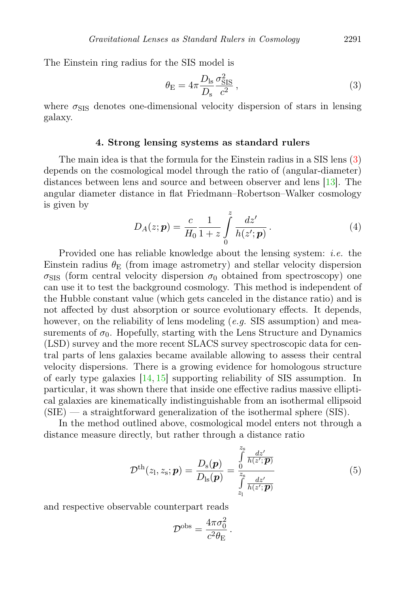The Einstein ring radius for the SIS model is

<span id="page-5-0"></span>
$$
\theta_{\rm E} = 4\pi \frac{D_{\rm ls}}{D_{\rm s}} \frac{\sigma_{\rm SIS}^2}{c^2} \,,\tag{3}
$$

where  $\sigma_{\rm SIS}$  denotes one-dimensional velocity dispersion of stars in lensing galaxy.

### 4. Strong lensing systems as standard rulers

The main idea is that the formula for the Einstein radius in a SIS lens [\(3\)](#page-5-0) depends on the cosmological model through the ratio of (angular-diameter) distances between lens and source and between observer and lens [\[13\]](#page-9-5). The angular diameter distance in flat Friedmann–Robertson–Walker cosmology is given by

$$
D_A(z; \mathbf{p}) = \frac{c}{H_0} \frac{1}{1+z} \int_{0}^{z} \frac{dz'}{h(z'; \mathbf{p})}.
$$
 (4)

Provided one has reliable knowledge about the lensing system: *i.e.* the Einstein radius  $\theta_{\rm E}$  (from image astrometry) and stellar velocity dispersion  $\sigma_{\rm SIS}$  (form central velocity dispersion  $\sigma_0$  obtained from spectroscopy) one can use it to test the background cosmology. This method is independent of the Hubble constant value (which gets canceled in the distance ratio) and is not affected by dust absorption or source evolutionary effects. It depends, however, on the reliability of lens modeling  $(e.q.$  SIS assumption) and measurements of  $\sigma_0$ . Hopefully, starting with the Lens Structure and Dynamics (LSD) survey and the more recent SLACS survey spectroscopic data for central parts of lens galaxies became available allowing to assess their central velocity dispersions. There is a growing evidence for homologous structure of early type galaxies [\[14,](#page-9-6) [15\]](#page-9-7) supporting reliability of SIS assumption. In particular, it was shown there that inside one effective radius massive elliptical galaxies are kinematically indistinguishable from an isothermal ellipsoid  $(SIE)$  — a straightforward generalization of the isothermal sphere  $(SIS)$ .

In the method outlined above, cosmological model enters not through a distance measure directly, but rather through a distance ratio

<span id="page-5-1"></span>
$$
\mathcal{D}^{\text{th}}(z_1, z_s; \boldsymbol{p}) = \frac{D_s(\boldsymbol{p})}{D_{\text{ls}}(\boldsymbol{p})} = \frac{\int\limits_{0}^{z_s} \frac{dz'}{h(z';\boldsymbol{p})}}{\int\limits_{z_1}^{z_s} \frac{dz'}{h(z';\boldsymbol{p})}}
$$
(5)

and respective observable counterpart reads

$$
\mathcal{D}^{\rm obs} = \frac{4\pi\sigma_0^2}{c^2\theta_{\rm E}}.
$$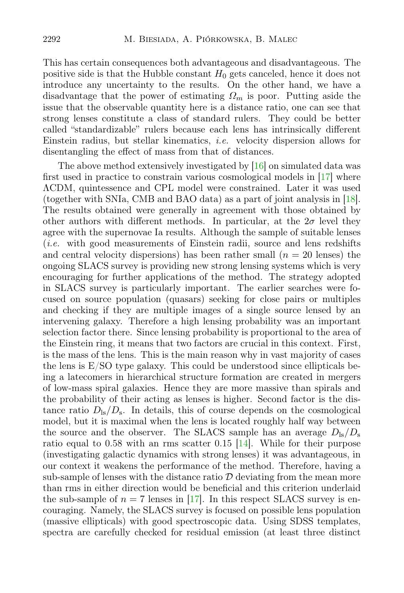This has certain consequences both advantageous and disadvantageous. The positive side is that the Hubble constant  $H_0$  gets canceled, hence it does not introduce any uncertainty to the results. On the other hand, we have a disadvantage that the power of estimating  $\Omega_m$  is poor. Putting aside the issue that the observable quantity here is a distance ratio, one can see that strong lenses constitute a class of standard rulers. They could be better called "standardizable" rulers because each lens has intrinsically different Einstein radius, but stellar kinematics, i.e. velocity dispersion allows for disentangling the effect of mass from that of distances.

The above method extensively investigated by [\[16\]](#page-9-8) on simulated data was first used in practice to constrain various cosmological models in [\[17\]](#page-9-9) where ΛCDM, quintessence and CPL model were constrained. Later it was used (together with SNIa, CMB and BAO data) as a part of joint analysis in [\[18\]](#page-9-10). The results obtained were generally in agreement with those obtained by other authors with different methods. In particular, at the  $2\sigma$  level they agree with the supernovae Ia results. Although the sample of suitable lenses (i.e. with good measurements of Einstein radii, source and lens redshifts and central velocity dispersions) has been rather small  $(n = 20 \text{ lenses})$  the ongoing SLACS survey is providing new strong lensing systems which is very encouraging for further applications of the method. The strategy adopted in SLACS survey is particularly important. The earlier searches were focused on source population (quasars) seeking for close pairs or multiples and checking if they are multiple images of a single source lensed by an intervening galaxy. Therefore a high lensing probability was an important selection factor there. Since lensing probability is proportional to the area of the Einstein ring, it means that two factors are crucial in this context. First, is the mass of the lens. This is the main reason why in vast majority of cases the lens is E/SO type galaxy. This could be understood since ellipticals being a latecomers in hierarchical structure formation are created in mergers of low-mass spiral galaxies. Hence they are more massive than spirals and the probability of their acting as lenses is higher. Second factor is the distance ratio  $D_{\text{ls}}/D_{\text{s}}$ . In details, this of course depends on the cosmological model, but it is maximal when the lens is located roughly half way between the source and the observer. The SLACS sample has an average  $D_{\rm ls}/D_{\rm s}$ ratio equal to 0.58 with an rms scatter 0.15  $[14]$ . While for their purpose (investigating galactic dynamics with strong lenses) it was advantageous, in our context it weakens the performance of the method. Therefore, having a sub-sample of lenses with the distance ratio  $\mathcal D$  deviating from the mean more than rms in either direction would be beneficial and this criterion underlaid the sub-sample of  $n = 7$  lenses in [\[17\]](#page-9-9). In this respect SLACS survey is encouraging. Namely, the SLACS survey is focused on possible lens population (massive ellipticals) with good spectroscopic data. Using SDSS templates, spectra are carefully checked for residual emission (at least three distinct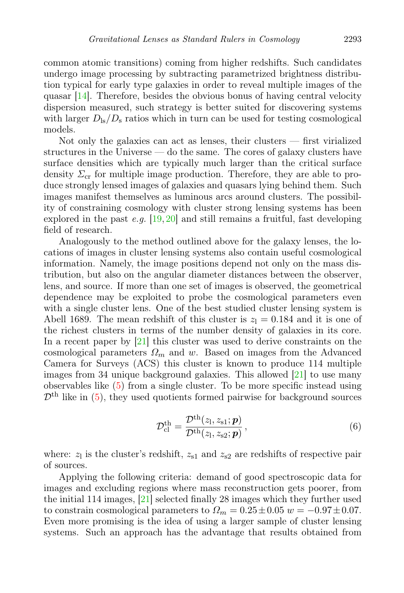common atomic transitions) coming from higher redshifts. Such candidates undergo image processing by subtracting parametrized brightness distribution typical for early type galaxies in order to reveal multiple images of the quasar [\[14\]](#page-9-6). Therefore, besides the obvious bonus of having central velocity dispersion measured, such strategy is better suited for discovering systems with larger  $D_{\rm ls}/D_{\rm s}$  ratios which in turn can be used for testing cosmological models.

Not only the galaxies can act as lenses, their clusters — first virialized structures in the Universe — do the same. The cores of galaxy clusters have surface densities which are typically much larger than the critical surface density  $\Sigma_{cr}$  for multiple image production. Therefore, they are able to produce strongly lensed images of galaxies and quasars lying behind them. Such images manifest themselves as luminous arcs around clusters. The possibility of constraining cosmology with cluster strong lensing systems has been explored in the past e.g.  $[19, 20]$  $[19, 20]$  $[19, 20]$  and still remains a fruitful, fast developing field of research.

Analogously to the method outlined above for the galaxy lenses, the locations of images in cluster lensing systems also contain useful cosmological information. Namely, the image positions depend not only on the mass distribution, but also on the angular diameter distances between the observer, lens, and source. If more than one set of images is observed, the geometrical dependence may be exploited to probe the cosmological parameters even with a single cluster lens. One of the best studied cluster lensing system is Abell 1689. The mean redshift of this cluster is  $z_1 = 0.184$  and it is one of the richest clusters in terms of the number density of galaxies in its core. In a recent paper by  $[21]$  this cluster was used to derive constraints on the cosmological parameters  $\Omega_m$  and w. Based on images from the Advanced Camera for Surveys (ACS) this cluster is known to produce 114 multiple images from 34 unique background galaxies. This allowed [\[21\]](#page-9-13) to use many observables like [\(5\)](#page-5-1) from a single cluster. To be more specific instead using  $\mathcal{D}^{\text{th}}$  like in [\(5\)](#page-5-1), they used quotients formed pairwise for background sources

$$
\mathcal{D}_{\text{cl}}^{\text{th}} = \frac{\mathcal{D}^{\text{th}}(z_1, z_{\text{s}1}; \mathbf{p})}{\mathcal{D}^{\text{th}}(z_1, z_{\text{s}2}; \mathbf{p})},\tag{6}
$$

where:  $z_1$  is the cluster's redshift,  $z_{s1}$  and  $z_{s2}$  are redshifts of respective pair of sources.

Applying the following criteria: demand of good spectroscopic data for images and excluding regions where mass reconstruction gets poorer, from the initial 114 images, [\[21\]](#page-9-13) selected finally 28 images which they further used to constrain cosmological parameters to  $\Omega_m = 0.25 \pm 0.05$  w =  $-0.97 \pm 0.07$ . Even more promising is the idea of using a larger sample of cluster lensing systems. Such an approach has the advantage that results obtained from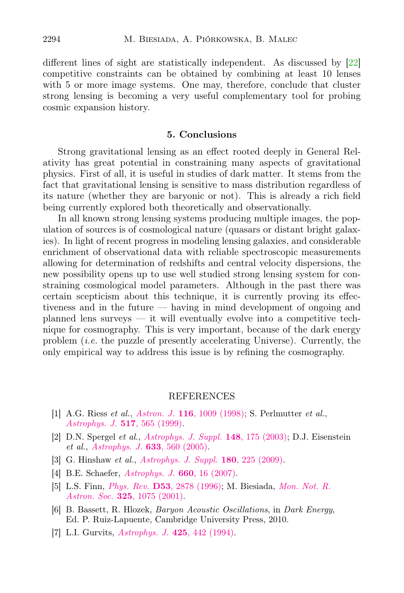different lines of sight are statistically independent. As discussed by [\[22\]](#page-9-14) competitive constraints can be obtained by combining at least 10 lenses with 5 or more image systems. One may, therefore, conclude that cluster strong lensing is becoming a very useful complementary tool for probing cosmic expansion history.

### 5. Conclusions

Strong gravitational lensing as an effect rooted deeply in General Relativity has great potential in constraining many aspects of gravitational physics. First of all, it is useful in studies of dark matter. It stems from the fact that gravitational lensing is sensitive to mass distribution regardless of its nature (whether they are baryonic or not). This is already a rich field being currently explored both theoretically and observationally.

In all known strong lensing systems producing multiple images, the population of sources is of cosmological nature (quasars or distant bright galaxies). In light of recent progress in modeling lensing galaxies, and considerable enrichment of observational data with reliable spectroscopic measurements allowing for determination of redshifts and central velocity dispersions, the new possibility opens up to use well studied strong lensing system for constraining cosmological model parameters. Although in the past there was certain scepticism about this technique, it is currently proving its effectiveness and in the future — having in mind development of ongoing and planned lens surveys — it will eventually evolve into a competitive technique for cosmography. This is very important, because of the dark energy problem *(i.e.* the puzzle of presently accelerating Universe). Currently, the only empirical way to address this issue is by refining the cosmography.

#### REFERENCES

- <span id="page-8-0"></span>[1] A.G. Riess et al.[,](http://dx.doi.org/10.1086/307221) Astron. J. **116**[, 1009 \(1998\);](http://dx.doi.org/10.1086/300499) S. Perlmutter et al., [Astrophys. J.](http://dx.doi.org/10.1086/307221) 517, 565 (1999).
- <span id="page-8-1"></span>[2] D.N. Spergel et al., [Astrophys. J. Suppl.](http://dx.doi.org/10.1086/377226) 148, 175 (2003); D.J. Eisenstein et al., [Astrophys. J.](http://dx.doi.org/10.1086/466512) 633, 560 (2005).
- <span id="page-8-2"></span>[3] G. Hinshaw et al., [Astrophys. J. Suppl.](http://dx.doi.org/10.1088/0067-0049/180/2/225) 180, 225 (2009).
- <span id="page-8-3"></span>[4] B.E. Schaefer, [Astrophys. J.](http://dx.doi.org/10.1086/511742) 660, 16 (2007).
- <span id="page-8-4"></span>[5] L.S. Finn, Phys. Rev. D53[, 2878 \(1996\);](http://dx.doi.org/10.1103/PhysRevD.53.2878) M. Biesiada, [Mon. Not. R.](http://dx.doi.org/10.1046/j.1365-8711.2001.04529.x) Astron. Soc. **325**[, 1075 \(2001\).](http://dx.doi.org/10.1046/j.1365-8711.2001.04529.x)
- <span id="page-8-5"></span>[6] B. Bassett, R. Hlozek, Baryon Acoustic Oscillations, in Dark Energy, Ed. P. Ruiz-Lapuente, Cambridge University Press, 2010.
- <span id="page-8-6"></span>[7] L.I. Gurvits, *[Astrophys. J.](http://dx.doi.org/10.1086/173999)* **425**, 442 (1994).